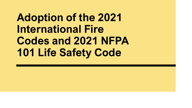# **Adoption of the 2021 International Fire Codes and 2021 NFPA 101 Life Safety Code**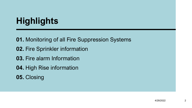## **Highlights**

- **01.** Monitoring of all Fire Suppression Systems
- **02.** Fire Sprinkler information
- **03.** Fire alarm Information
- **04.** High Rise information
- **05.** Closing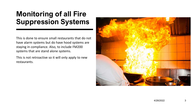#### **Monitoring of all Fire Suppression Systems**

This is done to ensure small restaurants that do not have alarm systems but do have hood systems are staying in compliance. Also, to include FM200 systems that are stand alone systems.

This is not retroactive so it will only apply to new restaurants.

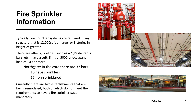#### **Fire Sprinkler Information**

Typically Fire Sprinkler systems are required in any structure that is 12,000sqft or larger or 3 stories in height of greater.

There are other guidelines, such as A2 (Restaurants, bars, etc.) have a sqft. limit of 5000 or occupant load of 100 or more.

Northgate: In the core there are 32 bars

16 have sprinklers

16 non -sprinklered

Currently there are two establishments that are being remodeled, both of which do not meet the requirements to have a fire sprinkler system mandatory.



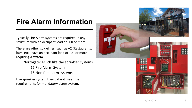### **Fire Alarm Information**

Typically Fire Alarm systems are required in any structure with an occupant load of 300 or more.

There are other guidelines, such as A2 (Restaurants, bars, etc.) have an occupant load of 100 or more requiring a system.

Northgate: Much like the sprinkler systems

- 16 Fire Alarm System
- 16 Non fire alarm systems

Like sprinkler system they did not meet the requirements for mandatory alarm system.

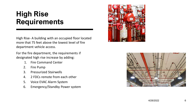#### **High Rise Requirements**

High Rise- A building with an occupied floor located more that 75 feet above the lowest level of fire department vehicle access.

For the fire department, the requirements if designated high rise increase by adding:

- 1. Fire Command Center
- 2. Fire Pump
- 3. Pressurized Stairwells
- 4. 2 FDCs remote from each other
- 5. Voice EVAC Alarm System
- 6. Emergency/Standby Power system